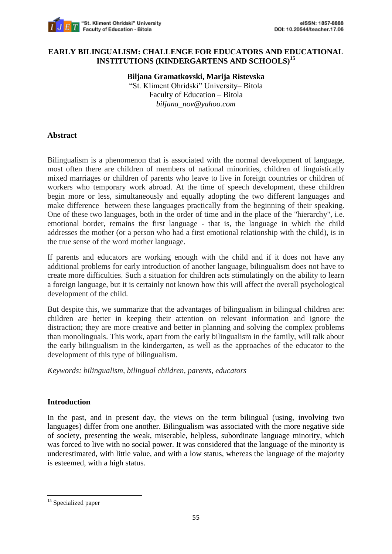

### **EARLY BILINGUALISM: CHALLENGE FOR EDUCATORS AND EDUCATIONAL INSTITUTIONS (KINDERGARTENS AND SCHOOLS)<sup>15</sup>**

**Biljana Gramatkovski, Marija Ristevska** "St. Kliment Ohridski" University– Bitola Faculty of Education – Bitola *biljana\_nov@yahoo.com*

#### **Abstract**

Bilingualism is a phenomenon that is associated with the normal development of language, most often there are children of members of national minorities, children of linguistically mixed marriages or children of parents who leave to live in foreign countries or children of workers who temporary work abroad. At the time of speech development, these children begin more or less, simultaneously and equally adopting the two different languages and make difference between these languages practically from the beginning of their speaking. One of these two languages, both in the order of time and in the place of the "hierarchy", i.e. emotional border, remains the first language - that is, the language in which the child addresses the mother (or a person who had a first emotional relationship with the child), is in the true sense of the word mother language.

If parents and educators are working enough with the child and if it does not have any additional problems for early introduction of another language, bilingualism does not have to create more difficulties. Such a situation for children acts stimulatingly on the ability to learn a foreign language, but it is certainly not known how this will affect the overall psychological development of the child.

But despite this, we summarize that the advantages of bilingualism in bilingual children are: children are better in keeping their attention on relevant information and ignore the distraction; they are more creative and better in planning and solving the complex problems than monolinguals. This work, apart from the early bilingualism in the family, will talk about the early bilingualism in the kindergarten, as well as the approaches of the educator to the development of this type of bilingualism.

*Keywords: bilingualism, bilingual children, parents, educators*

# **Introduction**

In the past, and in present day, the views on the term bilingual (using, involving two languages) differ from one another. Bilingualism was associated with the more negative side of society, presenting the weak, miserable, helpless, subordinate language minority, which was forced to live with no social power. It was considered that the language of the minority is underestimated, with little value, and with a low status, whereas the language of the majority is esteemed, with a high status.

1

<sup>&</sup>lt;sup>15</sup> Specialized paper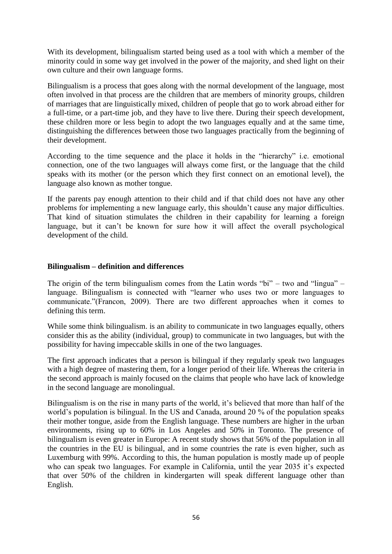With its development, bilingualism started being used as a tool with which a member of the minority could in some way get involved in the power of the majority, and shed light on their own culture and their own language forms.

Bilingualism is a process that goes along with the normal development of the language, most often involved in that process are the children that are members of minority groups, children of marriages that are linguistically mixed, children of people that go to work abroad either for a full-time, or a part-time job, and they have to live there. During their speech development, these children more or less begin to adopt the two languages equally and at the same time, distinguishing the differences between those two languages practically from the beginning of their development.

According to the time sequence and the place it holds in the "hierarchy" i.e. emotional connection, one of the two languages will always come first, or the language that the child speaks with its mother (or the person which they first connect on an emotional level), the language also known as mother tongue.

If the parents pay enough attention to their child and if that child does not have any other problems for implementing a new language early, this shouldn't cause any major difficulties. That kind of situation stimulates the children in their capability for learning a foreign language, but it can't be known for sure how it will affect the overall psychological development of the child.

### **Bilingualism – definition and differences**

The origin of the term bilingualism comes from the Latin words "bi" – two and "lingua" – language. Bilingualism is connected with "learner who uses two or more languages to communicate."(Francon, 2009). There are two different approaches when it comes to defining this term.

While some think bilingualism, is an ability to communicate in two languages equally, others consider this as the ability (individual, group) to communicate in two languages, but with the possibility for having impeccable skills in one of the two languages.

The first approach indicates that a person is bilingual if they regularly speak two languages with a high degree of mastering them, for a longer period of their life. Whereas the criteria in the second approach is mainly focused on the claims that people who have lack of knowledge in the second language are monolingual.

Bilingualism is on the rise in many parts of the world, it's believed that more than half of the world's population is bilingual. In the US and Canada, around 20 % of the population speaks their mother tongue, aside from the English language. These numbers are higher in the urban environments, rising up to 60% in Los Angeles and 50% in Toronto. The presence of bilingualism is even greater in Europe: A recent study shows that 56% of the population in all the countries in the EU is bilingual, and in some countries the rate is even higher, such as Luxemburg with 99%. According to this, the human population is mostly made up of people who can speak two languages. For example in California, until the year 2035 it's expected that over 50% of the children in kindergarten will speak different language other than English.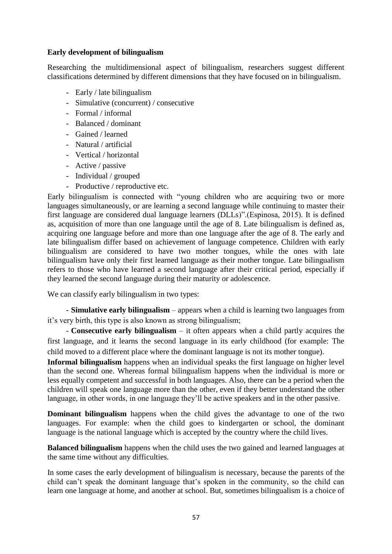# **Early development of bilingualism**

Researching the multidimensional aspect of bilingualism, researchers suggest different classifications determined by different dimensions that they have focused on in bilingualism.

- Early / late bilingualism
- Simulative (concurrent) / consecutive
- Formal / informal
- Balanced / dominant
- Gained / learned
- Natural / artificial
- Vertical / horizontal
- Active / passive
- Individual / grouped
- Productive / reproductive etc.

Early bilingualism is connected with "young children who are acquiring two or more languages simultaneously, or are learning a second language while continuing to master their first language are considered dual language learners (DLLs)".(Espinosa, 2015). It is defined as, acquisition of more than one language until the age of 8. Late bilingualism is defined as, acquiring one language before and more than one language after the age of 8. The early and late bilingualism differ based on achievement of language competence. Children with early bilingualism are considered to have two mother tongues, while the ones with late bilingualism have only their first learned language as their mother tongue. Late bilingualism refers to those who have learned a second language after their critical period, especially if they learned the second language during their maturity or adolescence.

We can classify early bilingualism in two types:

- **Simulative early bilingualism** – appears when a child is learning two languages from it's very birth, this type is also known as strong bilingualism;

- **Consecutive early bilingualism** – it often appears when a child partly acquires the first language, and it learns the second language in its early childhood (for example: The child moved to a different place where the dominant language is not its mother tongue).

**Informal bilingualism** happens when an individual speaks the first language on higher level than the second one. Whereas formal bilingualism happens when the individual is more or less equally competent and successful in both languages. Also, there can be a period when the children will speak one language more than the other, even if they better understand the other language, in other words, in one language they'll be active speakers and in the other passive.

**Dominant bilingualism** happens when the child gives the advantage to one of the two languages. For example: when the child goes to kindergarten or school, the dominant language is the national language which is accepted by the country where the child lives.

**Balanced bilingualism** happens when the child uses the two gained and learned languages at the same time without any difficulties.

In some cases the early development of bilingualism is necessary, because the parents of the child can't speak the dominant language that's spoken in the community, so the child can learn one language at home, and another at school. But, sometimes bilingualism is a choice of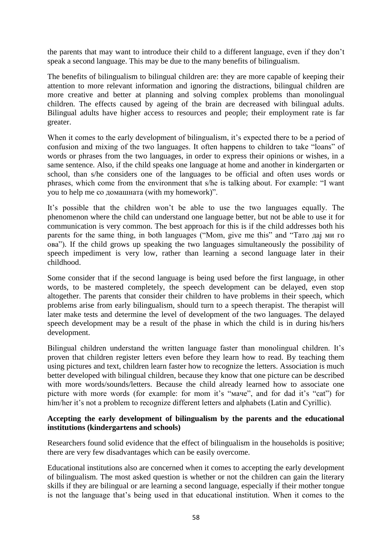the parents that may want to introduce their child to a different language, even if they don't speak a second language. This may be due to the many benefits of bilingualism.

The benefits of bilingualism to bilingual children are: they are more capable of keeping their attention to more relevant information and ignoring the distractions, bilingual children are more creative and better at planning and solving complex problems than monolingual children. The effects caused by ageing of the brain are decreased with bilingual adults. Bilingual adults have higher access to resources and people; their employment rate is far greater.

When it comes to the early development of bilingualism, it's expected there to be a period of confusion and mixing of the two languages. It often happens to children to take "loans" of words or phrases from the two languages, in order to express their opinions or wishes, in a same sentence. Also, if the child speaks one language at home and another in kindergarten or school, than s/he considers one of the languages to be official and often uses words or phrases, which come from the environment that s/he is talking about. For example: "I want you to help me со домашната (with my homework)".

It's possible that the children won't be able to use the two languages equally. The phenomenon where the child can understand one language better, but not be able to use it for communication is very common. The best approach for this is if the child addresses both his parents for the same thing, in both languages ("Mom, give me this" and "Тато дај ми го ова"). If the child grows up speaking the two languages simultaneously the possibility of speech impediment is very low, rather than learning a second language later in their childhood.

Some consider that if the second language is being used before the first language, in other words, to be mastered completely, the speech development can be delayed, even stop altogether. The parents that consider their children to have problems in their speech, which problems arise from early bilingualism, should turn to a speech therapist. The therapist will later make tests and determine the level of development of the two languages. The delayed speech development may be a result of the phase in which the child is in during his/hers development.

Bilingual children understand the written language faster than monolingual children. It's proven that children register letters even before they learn how to read. By teaching them using pictures and text, children learn faster how to recognize the letters. Association is much better developed with bilingual children, because they know that one picture can be described with more words/sounds/letters. Because the child already learned how to associate one picture with more words (for example: for mom it's "маче", and for dad it's "cat") for him/her it's not a problem to recognize different letters and alphabets (Latin and Cyrillic).

### **Accepting the early development of bilingualism by the parents and the educational institutions (kindergartens and schools)**

Researchers found solid evidence that the effect of bilingualism in the households is positive; there are very few disadvantages which can be easily overcome.

Educational institutions also are concerned when it comes to accepting the early development of bilingualism. The most asked question is whether or not the children can gain the literary skills if they are bilingual or are learning a second language, especially if their mother tongue is not the language that's being used in that educational institution. When it comes to the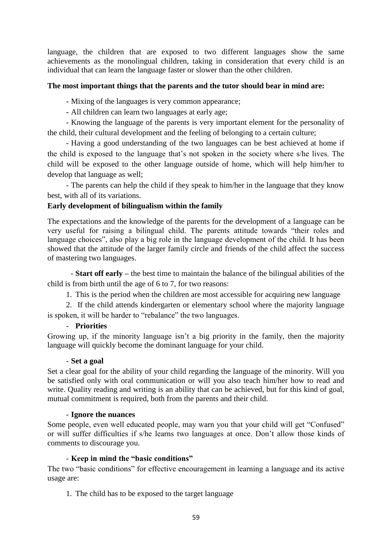language, the children that are exposed to two different languages show the same achievements as the monolingual children, taking in consideration that every child is an individual that can learn the language faster or slower than the other children.

### **The most important things that the parents and the tutor should bear in mind are:**

- Mixing of the languages is very common appearance;

- All children can learn two languages at early age;

- Knowing the language of the parents is very important element for the personality of the child, their cultural development and the feeling of belonging to a certain culture;

- Having a good understanding of the two languages can be best achieved at home if the child is exposed to the language that's not spoken in the society where s/he lives. The child will be exposed to the other language outside of home, which will help him/her to develop that language as well;

- The parents can help the child if they speak to him/her in the language that they know best, with all of its variations.

# **Early development of bilingualism within the family**

The expectations and the knowledge of the parents for the development of a language can be very useful for raising a bilingual child. The parents attitude towards "their roles and language choices", also play a big role in the language development of the child. It has been showed that the attitude of the larger family circle and friends of the child affect the success of mastering two languages.

- **Start off early –** the best time to maintain the balance of the bilingual abilities of the child is from birth until the age of 6 to 7, for two reasons:

1. This is the period when the children are most accessible for acquiring new language

2. If the child attends kindergarten or elementary school where the majority language is spoken, it will be harder to "rebalance" the two languages.

#### - **Priorities**

Growing up, if the minority language isn't a big priority in the family, then the majority language will quickly become the dominant language for your child.

#### - **Set a goal**

Set a clear goal for the ability of your child regarding the language of the minority. Will you be satisfied only with oral communication or will you also teach him/her how to read and write. Quality reading and writing is an ability that can be achieved, but for this kind of goal, mutual commitment is required, both from the parents and their child.

#### - **Ignore the nuances**

Some people, even well educated people, may warn you that your child will get "Confused" or will suffer difficulties if s/he learns two languages at once. Don't allow those kinds of comments to discourage you.

# - **Keep in mind the "basic conditions"**

The two "basic conditions" for effective encouragement in learning a language and its active usage are:

1. The child has to be exposed to the target language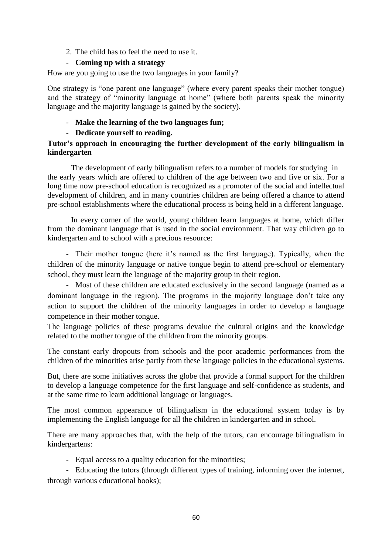2. The child has to feel the need to use it.

# - **Coming up with a strategy**

How are you going to use the two languages in your family?

One strategy is "one parent one language" (where every parent speaks their mother tongue) and the strategy of "minority language at home" (where both parents speak the minority language and the majority language is gained by the society).

# - **Make the learning of the two languages fun;**

# - **Dedicate yourself to reading.**

### **Tutor's approach in encouraging the further development of the early bilingualism in kindergarten**

The development of early bilingualism refers to a number of models for studying in the early years which are offered to children of the age between two and five or six. For a long time now pre-school education is recognized as a promoter of the social and intellectual development of children, and in many countries children are being offered a chance to attend pre-school establishments where the educational process is being held in a different language.

In every corner of the world, young children learn languages at home, which differ from the dominant language that is used in the social environment. That way children go to kindergarten and to school with a precious resource:

- Their mother tongue (here it's named as the first language). Typically, when the children of the minority language or native tongue begin to attend pre-school or elementary school, they must learn the language of the majority group in their region.

- Most of these children are educated exclusively in the second language (named as a dominant language in the region). The programs in the majority language don't take any action to support the children of the minority languages in order to develop a language competence in their mother tongue.

The language policies of these programs devalue the cultural origins and the knowledge related to the mother tongue of the children from the minority groups.

The constant early dropouts from schools and the poor academic performances from the children of the minorities arise partly from these language policies in the educational systems.

But, there are some initiatives across the globe that provide a formal support for the children to develop a language competence for the first language and self-confidence as students, and at the same time to learn additional language or languages.

The most common appearance of bilingualism in the educational system today is by implementing the English language for all the children in kindergarten and in school.

There are many approaches that, with the help of the tutors, can encourage bilingualism in kindergartens:

- Equal access to a quality education for the minorities;

- Educating the tutors (through different types of training, informing over the internet, through various educational books);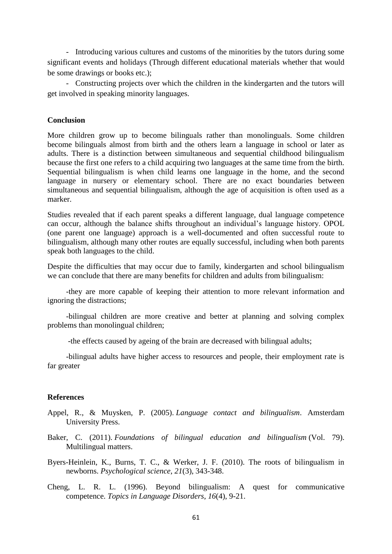- Introducing various cultures and customs of the minorities by the tutors during some significant events and holidays (Through different educational materials whether that would be some drawings or books etc.);

- Constructing projects over which the children in the kindergarten and the tutors will get involved in speaking minority languages.

#### **Conclusion**

More children grow up to become bilinguals rather than monolinguals. Some children become bilinguals almost from birth and the others learn a language in school or later as adults. There is a distinction between simultaneous and sequential childhood bilingualism because the first one refers to a child acquiring two languages at the same time from the birth. Sequential bilingualism is when child learns one language in the home, and the second language in nursery or elementary school. There are no exact boundaries between simultaneous and sequential bilingualism, although the age of acquisition is often used as a marker.

Studies revealed that if each parent speaks a different language, dual language competence can occur, although the balance shifts throughout an individual's language history. OPOL (one parent one language) approach is a well-documented and often successful route to bilingualism, although many other routes are equally successful, including when both parents speak both languages to the child.

Despite the difficulties that may occur due to family, kindergarten and school bilingualism we can conclude that there are many benefits for children and adults from bilingualism:

-they are more capable of keeping their attention to more relevant information and ignoring the distractions;

-bilingual children are more creative and better at planning and solving complex problems than monolingual children;

-the effects caused by ageing of the brain are decreased with bilingual adults;

-bilingual adults have higher access to resources and people, their employment rate is far greater

#### **References**

- Appel, R., & Muysken, P. (2005). *Language contact and bilingualism*. Amsterdam University Press.
- Baker, C. (2011). *Foundations of bilingual education and bilingualism* (Vol. 79). Multilingual matters.
- Byers-Heinlein, K., Burns, T. C., & Werker, J. F. (2010). The roots of bilingualism in newborns. *Psychological science*, *21*(3), 343-348.
- Cheng, L. R. L. (1996). Beyond bilingualism: A quest for communicative competence. *Topics in Language Disorders*, *16*(4), 9-21.